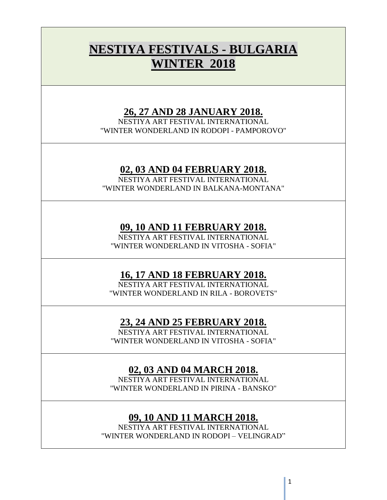# **NESTIYA FESTIVALS - BULGARIA WINTER 2018**

### **26, 27 AND 28 JANUARY 2018.**

NESTIYA ART FESTIVAL INTERNATIONAL "WINTER WONDERLAND IN RODOPI - PAMPOROVO"

## **02, 03 AND 04 FEBRUARY 2018.**

NESTIYA ART FESTIVAL INTERNATIONAL "WINTER WONDERLAND IN BALKANA-MONTANA"

## **09, 10 AND 11 FEBRUARY 2018.**

NESTIYA ART FESTIVAL INTERNATIONAL "WINTER WONDERLAND IN VITOSHA - SOFIA"

# **16, 17 AND 18 FEBRUARY 2018.**

NESTIYA ART FESTIVAL INTERNATIONAL "WINTER WONDERLAND IN RILA - BOROVETS"

# **23, 24 AND 25 FEBRUARY 2018.**

NESTIYA ART FESTIVAL INTERNATIONAL "WINTER WONDERLAND IN VITOSHA - SOFIA"

# **02, 03 AND 04 MARCH 2018.**

NESTIYA ART FESTIVAL INTERNATIONAL "WINTER WONDERLAND IN PIRINA - BANSKO"

# **09, 10 AND 11 MARCH 2018.**

NESTIYA ART FESTIVAL INTERNATIONAL "WINTER WONDERLAND IN RODOPI – VELINGRAD"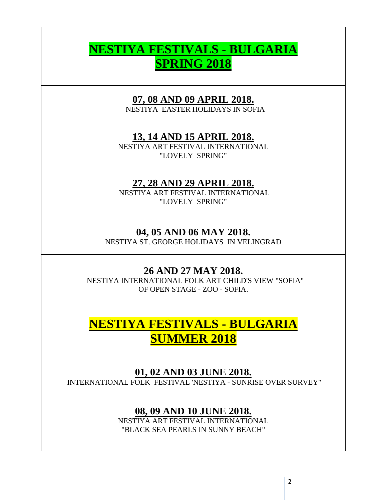# **NESTIYA FESTIVALS - BULGARIA SPRING 2018**

## **07, 08 AND 09 APRIL 2018.**

NESTIYA EASTER HOLIDAYS IN SOFIA

### **13, 14 AND 15 APRIL 2018.**

NESTIYA ART FESTIVAL INTERNATIONAL "LOVELY SPRING"

#### **27, 28 AND 29 APRIL 2018.**

NESTIYA ART FESTIVAL INTERNATIONAL "LOVELY SPRING"

#### **04, 05 AND 06 MAY 2018.**

NESTIYA ST. GEORGE HOLIDAYS IN VELINGRAD

#### **26 AND 27 MAY 2018.**

NESTIYA INTERNATIONAL FOLK ART CHILD'S VIEW "SOFIA" OF OPEN STAGE - ZOO - SOFIA.

# **NESTIYA FESTIVALS - BULGARIA SUMMER 2018**

#### **01, 02 AND 03 JUNE 2018.**

INTERNATIONAL FOLK FESTIVAL 'NESTIYA - SUNRISE OVER SURVEY"

#### **08, 09 AND 10 JUNE 2018.**

NESTIYA ART FESTIVAL INTERNATIONAL "BLACK SEA PEARLS IN SUNNY BEACH"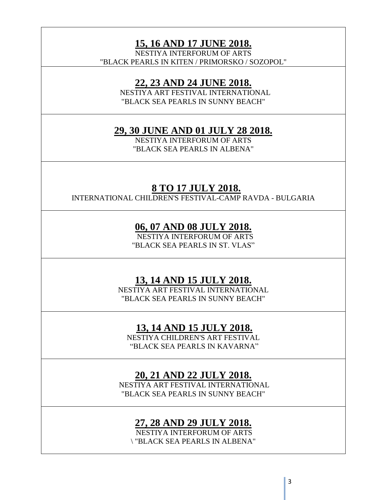**15, 16 AND 17 JUNE 2018.** 

NESTIYA INTERFORUM OF ARTS "BLACK PEARLS IN KITEN / PRIMORSKO / SOZOPOL"

#### **22, 23 AND 24 JUNE 2018.**

NESTIYA ART FESTIVAL INTERNATIONAL "BLACK SEA PEARLS IN SUNNY BEACH"

#### **29, 30 JUNE AND 01 JULY 28 2018.**

NESTIYA INTERFORUM OF ARTS "BLACK SEA PEARLS IN ALBENA"

#### **8 TO 17 JULY 2018.**

INTERNATIONAL CHILDREN'S FESTIVAL-CAMP RAVDA - BULGARIA

#### **06, 07 AND 08 JULY 2018.**

 NESTIYA INTERFORUM OF ARTS "BLACK SEA PEARLS IN ST. VLAS"

#### **13, 14 AND 15 JULY 2018.**

NESTIYA ART FESTIVAL INTERNATIONAL "BLACK SEA PEARLS IN SUNNY BEACH"

### **13, 14 AND 15 JULY 2018.**

NESTIYA CHILDREN'S ART FESTIVAL "BLACK SEA PEARLS IN KAVARNA"

#### **20, 21 AND 22 JULY 2018.**

NESTIYA ART FESTIVAL INTERNATIONAL "BLACK SEA PEARLS IN SUNNY BEACH"

#### **27, 28 AND 29 JULY 2018.**

NESTIYA INTERFORUM OF ARTS \ "BLACK SEA PEARLS IN ALBENA"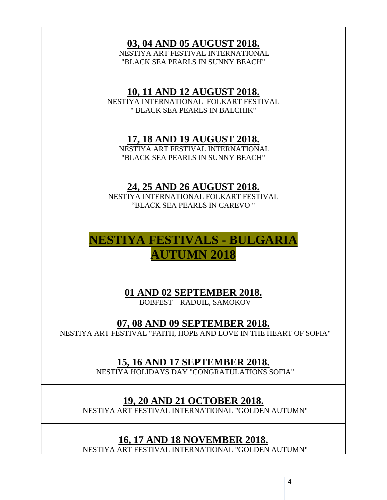# **03, 04 AND 05 AUGUST 2018.**

NESTIYA ART FESTIVAL INTERNATIONAL "BLACK SEA PEARLS IN SUNNY BEACH"

#### **10, 11 AND 12 AUGUST 2018.**

NESTIYA INTERNATIONAL FOLKART FESTIVAL " BLACK SEA PEARLS IN BALCHIK"

## **17, 18 AND 19 AUGUST 2018.**

NESTIYA ART FESTIVAL INTERNATIONAL "BLACK SEA PEARLS IN SUNNY BEACH"

# **24, 25 AND 26 AUGUST 2018.**

NESTIYA INTERNATIONAL FOLKART FESTIVAL "BLACK SEA PEARLS IN CAREVO "

# **NESTIYA FESTIVALS - BULGARIA AUTUMN 2018**

**01 AND 02 SEPTEMBER 2018.**

BOBFEST – RADUIL, SAMOKOV

## **07, 08 AND 09 SEPTEMBER 2018.**

NESTIYA ART FESTIVAL "FAITH, HOPE AND LOVE IN THE HEART OF SOFIA"

# **15, 16 AND 17 SEPTEMBER 2018.**

NESTIYA HOLIDAYS DAY "CONGRATULATIONS SOFIA"

## **19, 20 AND 21 OCTOBER 2018.**

NESTIYA ART FESTIVAL INTERNATIONAL "GOLDEN AUTUMN"

## **16, 17 AND 18 NOVEMBER 2018.**

NESTIYA ART FESTIVAL INTERNATIONAL "GOLDEN AUTUMN"